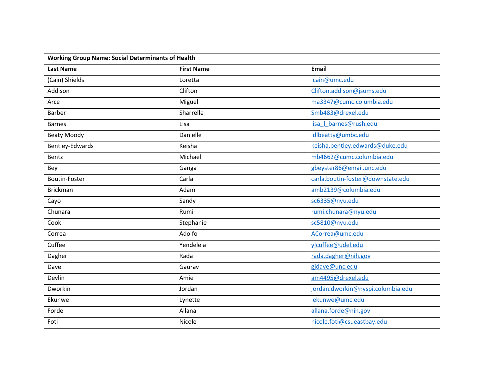| <b>Working Group Name: Social Determinants of Health</b> |                   |                                   |  |
|----------------------------------------------------------|-------------------|-----------------------------------|--|
| <b>Last Name</b>                                         | <b>First Name</b> | <b>Email</b>                      |  |
| (Cain) Shields                                           | Loretta           | lcain@umc.edu                     |  |
| Addison                                                  | Clifton           | Clifton.addison@jsums.edu         |  |
| Arce                                                     | Miguel            | ma3347@cumc.columbia.edu          |  |
| <b>Barber</b>                                            | Sharrelle         | Smb483@drexel.edu                 |  |
| <b>Barnes</b>                                            | Lisa              | lisa   barnes@rush.edu            |  |
| <b>Beaty Moody</b>                                       | Danielle          | dlbeatty@umbc.edu                 |  |
| Bentley-Edwards                                          | Keisha            | keisha.bentley.edwards@duke.edu   |  |
| Bentz                                                    | Michael           | mb4662@cumc.columbia.edu          |  |
| Bey                                                      | Ganga             | gbeyster86@email.unc.edu          |  |
| Boutin-Foster                                            | Carla             | carla.boutin-foster@downstate.edu |  |
| <b>Brickman</b>                                          | Adam              | amb2139@columbia.edu              |  |
| Cayo                                                     | Sandy             | sc6335@nyu.edu                    |  |
| Chunara                                                  | Rumi              | rumi.chunara@nyu.edu              |  |
| Cook                                                     | Stephanie         | sc5810@nyu.edu                    |  |
| Correa                                                   | Adolfo            | ACorrea@umc.edu                   |  |
| Cuffee                                                   | Yendelela         | ylcuffee@udel.edu                 |  |
| Dagher                                                   | Rada              | rada.dagher@nih.gov               |  |
| Dave                                                     | Gaurav            | gjdave@unc.edu                    |  |
| Devlin                                                   | Amie              | am4495@drexel.edu                 |  |
| Dworkin                                                  | Jordan            | jordan.dworkin@nyspi.columbia.edu |  |
| Ekunwe                                                   | Lynette           | lekunwe@umc.edu                   |  |
| Forde                                                    | Allana            | allana.forde@nih.gov              |  |
| Foti                                                     | Nicole            | nicole.foti@csueastbay.edu        |  |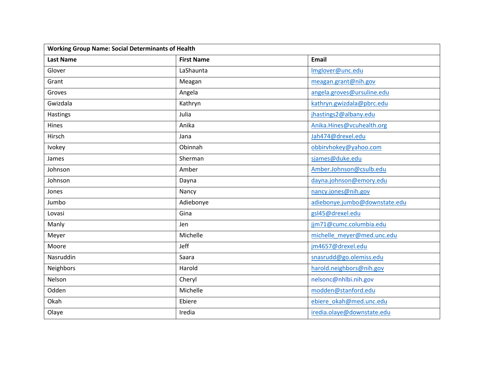| <b>Working Group Name: Social Determinants of Health</b> |                   |                               |  |
|----------------------------------------------------------|-------------------|-------------------------------|--|
| <b>Last Name</b>                                         | <b>First Name</b> | <b>Email</b>                  |  |
| Glover                                                   | LaShaunta         | Imglover@unc.edu              |  |
| Grant                                                    | Meagan            | meagan.grant@nih.gov          |  |
| Groves                                                   | Angela            | angela.groves@ursuline.edu    |  |
| Gwizdala                                                 | Kathryn           | kathryn.gwizdala@pbrc.edu     |  |
| <b>Hastings</b>                                          | Julia             | jhastings2@albany.edu         |  |
| Hines                                                    | Anika             | Anika.Hines@vcuhealth.org     |  |
| Hirsch                                                   | Jana              | Jah474@drexel.edu             |  |
| Ivokey                                                   | Obinnah           | obbirvhokey@yahoo.com         |  |
| James                                                    | Sherman           | sjames@duke.edu               |  |
| Johnson                                                  | Amber             | Amber.Johnson@csulb.edu       |  |
| Johnson                                                  | Dayna             | dayna.johnson@emory.edu       |  |
| Jones                                                    | Nancy             | nancy.jones@nih.gov           |  |
| Jumbo                                                    | Adiebonye         | adiebonye.jumbo@downstate.edu |  |
| Lovasi                                                   | Gina              | gsl45@drexel.edu              |  |
| Manly                                                    | Jen               | jjm71@cumc.columbia.edu       |  |
| Meyer                                                    | Michelle          | michelle meyer@med.unc.edu    |  |
| Moore                                                    | Jeff              | jm4657@drexel.edu             |  |
| Nasruddin                                                | Saara             | snasrudd@go.olemiss.edu       |  |
| <b>Neighbors</b>                                         | Harold            | harold.neighbors@nih.gov      |  |
| Nelson                                                   | Cheryl            | nelsonc@nhlbi.nih.gov         |  |
| Odden                                                    | Michelle          | modden@stanford.edu           |  |
| Okah                                                     | Ebiere            | ebiere okah@med.unc.edu       |  |
| Olaye                                                    | Iredia            | iredia.olaye@downstate.edu    |  |